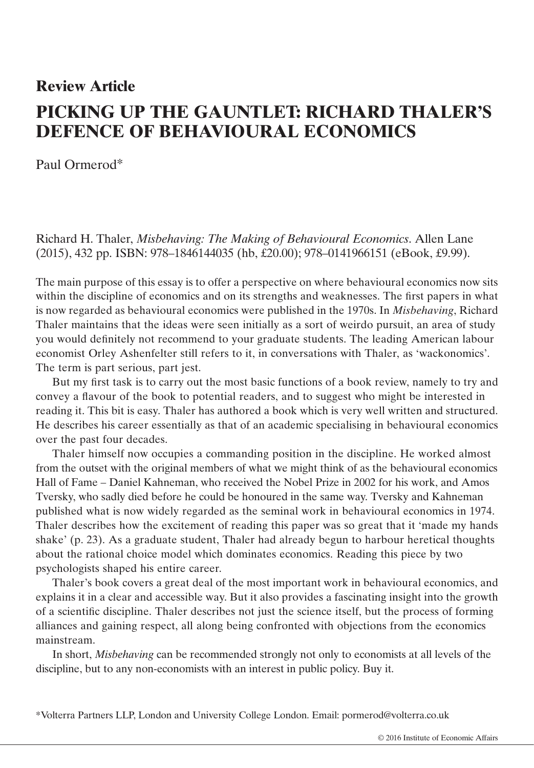# Review Article PICKING UP THE GAUNTLET: RICHARD THALER'S DEFENCE OF BEHAVIOURAL ECONOMICS

Paul Ormerod\*

Richard H. Thaler, Misbehaving: The Making of Behavioural Economics. Allen Lane (2015), 432 pp. ISBN: 978–1846144035 (hb, £20.00); 978–0141966151 (eBook, £9.99).

The main purpose of this essay is to offer a perspective on where behavioural economics now sits within the discipline of economics and on its strengths and weaknesses. The first papers in what is now regarded as behavioural economics were published in the 1970s. In *Misbehaving*, Richard Thaler maintains that the ideas were seen initially as a sort of weirdo pursuit, an area of study you would definitely not recommend to your graduate students. The leading American labour economist Orley Ashenfelter still refers to it, in conversations with Thaler, as 'wackonomics'. The term is part serious, part jest.

But my first task is to carry out the most basic functions of a book review, namely to try and convey a flavour of the book to potential readers, and to suggest who might be interested in reading it. This bit is easy. Thaler has authored a book which is very well written and structured. He describes his career essentially as that of an academic specialising in behavioural economics over the past four decades.

Thaler himself now occupies a commanding position in the discipline. He worked almost from the outset with the original members of what we might think of as the behavioural economics Hall of Fame – Daniel Kahneman, who received the Nobel Prize in 2002 for his work, and Amos Tversky, who sadly died before he could be honoured in the same way. Tversky and Kahneman published what is now widely regarded as the seminal work in behavioural economics in 1974. Thaler describes how the excitement of reading this paper was so great that it 'made my hands shake' (p. 23). As a graduate student, Thaler had already begun to harbour heretical thoughts about the rational choice model which dominates economics. Reading this piece by two psychologists shaped his entire career.

Thaler's book covers a great deal of the most important work in behavioural economics, and explains it in a clear and accessible way. But it also provides a fascinating insight into the growth of a scientific discipline. Thaler describes not just the science itself, but the process of forming alliances and gaining respect, all along being confronted with objections from the economics mainstream.

In short, Misbehaving can be recommended strongly not only to economists at all levels of the discipline, but to any non-economists with an interest in public policy. Buy it.

\*Volterra Partners LLP, London and University College London. Email: pormerod@volterra.co.uk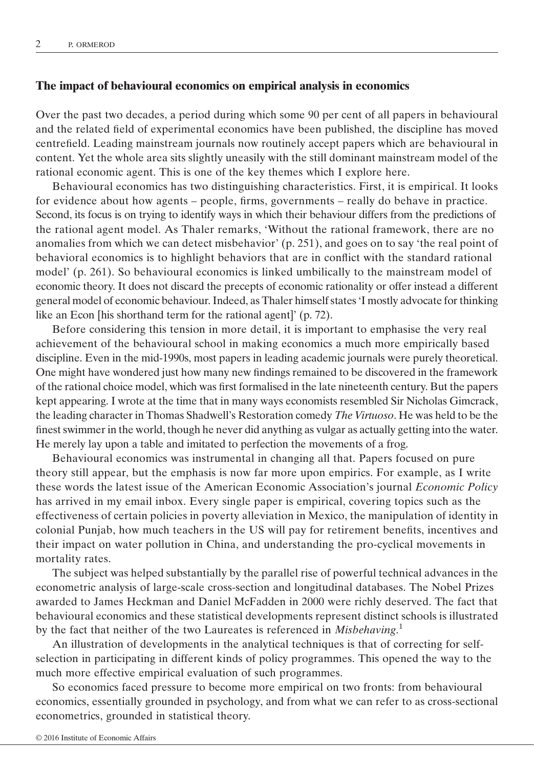#### The impact of behavioural economics on empirical analysis in economics

Over the past two decades, a period during which some 90 per cent of all papers in behavioural and the related field of experimental economics have been published, the discipline has moved centrefield. Leading mainstream journals now routinely accept papers which are behavioural in content. Yet the whole area sits slightly uneasily with the still dominant mainstream model of the rational economic agent. This is one of the key themes which I explore here.

Behavioural economics has two distinguishing characteristics. First, it is empirical. It looks for evidence about how agents – people, firms, governments – really do behave in practice. Second, its focus is on trying to identify ways in which their behaviour differs from the predictions of the rational agent model. As Thaler remarks, 'Without the rational framework, there are no anomalies from which we can detect misbehavior' (p. 251), and goes on to say 'the real point of behavioral economics is to highlight behaviors that are in conflict with the standard rational model' (p. 261). So behavioural economics is linked umbilically to the mainstream model of economic theory. It does not discard the precepts of economic rationality or offer instead a different general model of economic behaviour. Indeed, as Thaler himself states'I mostly advocate for thinking like an Econ [his shorthand term for the rational agent]' (p. 72).

Before considering this tension in more detail, it is important to emphasise the very real achievement of the behavioural school in making economics a much more empirically based discipline. Even in the mid-1990s, most papers in leading academic journals were purely theoretical. One might have wondered just how many new findings remained to be discovered in the framework of the rational choice model, which was first formalised in the late nineteenth century. But the papers kept appearing. I wrote at the time that in many ways economists resembled Sir Nicholas Gimcrack, the leading character in Thomas Shadwell's Restoration comedy The Virtuoso. He was held to be the finest swimmer in the world, though he never did anything as vulgar as actually getting into the water. He merely lay upon a table and imitated to perfection the movements of a frog.

Behavioural economics was instrumental in changing all that. Papers focused on pure theory still appear, but the emphasis is now far more upon empirics. For example, as I write these words the latest issue of the American Economic Association's journal Economic Policy has arrived in my email inbox. Every single paper is empirical, covering topics such as the effectiveness of certain policies in poverty alleviation in Mexico, the manipulation of identity in colonial Punjab, how much teachers in the US will pay for retirement benefits, incentives and their impact on water pollution in China, and understanding the pro-cyclical movements in mortality rates.

The subject was helped substantially by the parallel rise of powerful technical advances in the econometric analysis of large-scale cross-section and longitudinal databases. The Nobel Prizes awarded to James Heckman and Daniel McFadden in 2000 were richly deserved. The fact that behavioural economics and these statistical developments represent distinct schools is illustrated by the fact that neither of the two Laureates is referenced in Misbehaving.<sup>1</sup>

An illustration of developments in the analytical techniques is that of correcting for selfselection in participating in different kinds of policy programmes. This opened the way to the much more effective empirical evaluation of such programmes.

So economics faced pressure to become more empirical on two fronts: from behavioural economics, essentially grounded in psychology, and from what we can refer to as cross-sectional econometrics, grounded in statistical theory.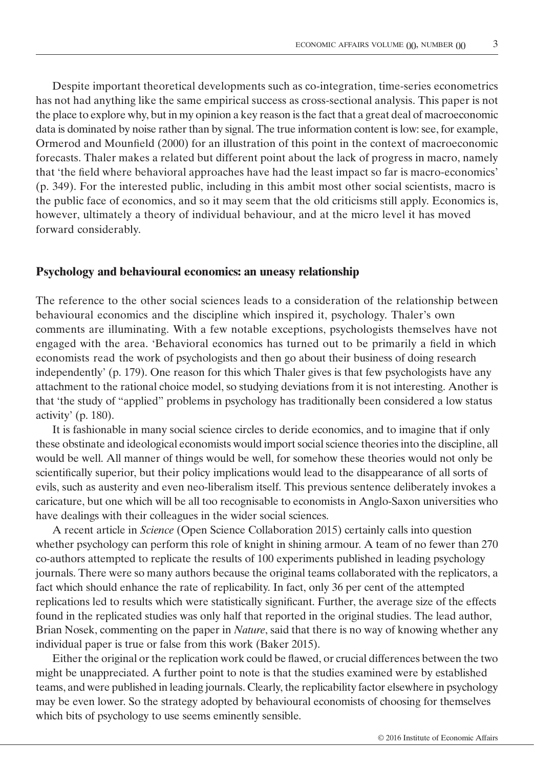Despite important theoretical developments such as co-integration, time-series econometrics has not had anything like the same empirical success as cross-sectional analysis. This paper is not the place to explore why, but in my opinion a key reason is the fact that a great deal of macroeconomic data is dominated by noise rather than by signal. The true information content is low: see, for example, Ormerod and Mounfield (2000) for an illustration of this point in the context of macroeconomic forecasts. Thaler makes a related but different point about the lack of progress in macro, namely that 'the field where behavioral approaches have had the least impact so far is macro-economics' (p. 349). For the interested public, including in this ambit most other social scientists, macro is the public face of economics, and so it may seem that the old criticisms still apply. Economics is, however, ultimately a theory of individual behaviour, and at the micro level it has moved forward considerably.

### Psychology and behavioural economics: an uneasy relationship

The reference to the other social sciences leads to a consideration of the relationship between behavioural economics and the discipline which inspired it, psychology. Thaler's own comments are illuminating. With a few notable exceptions, psychologists themselves have not engaged with the area. 'Behavioral economics has turned out to be primarily a field in which economists read the work of psychologists and then go about their business of doing research independently' (p. 179). One reason for this which Thaler gives is that few psychologists have any attachment to the rational choice model, so studying deviations from it is not interesting. Another is that 'the study of "applied" problems in psychology has traditionally been considered a low status activity' (p. 180).

It is fashionable in many social science circles to deride economics, and to imagine that if only these obstinate and ideological economists would import social science theories into the discipline, all would be well. All manner of things would be well, for somehow these theories would not only be scientifically superior, but their policy implications would lead to the disappearance of all sorts of evils, such as austerity and even neo-liberalism itself. This previous sentence deliberately invokes a caricature, but one which will be all too recognisable to economists in Anglo-Saxon universities who have dealings with their colleagues in the wider social sciences.

A recent article in Science (Open Science Collaboration 2015) certainly calls into question whether psychology can perform this role of knight in shining armour. A team of no fewer than 270 co-authors attempted to replicate the results of 100 experiments published in leading psychology journals. There were so many authors because the original teams collaborated with the replicators, a fact which should enhance the rate of replicability. In fact, only 36 per cent of the attempted replications led to results which were statistically significant. Further, the average size of the effects found in the replicated studies was only half that reported in the original studies. The lead author, Brian Nosek, commenting on the paper in *Nature*, said that there is no way of knowing whether any individual paper is true or false from this work (Baker 2015).

Either the original or the replication work could be flawed, or crucial differences between the two might be unappreciated. A further point to note is that the studies examined were by established teams, and were published in leading journals. Clearly, the replicability factor elsewhere in psychology may be even lower. So the strategy adopted by behavioural economists of choosing for themselves which bits of psychology to use seems eminently sensible.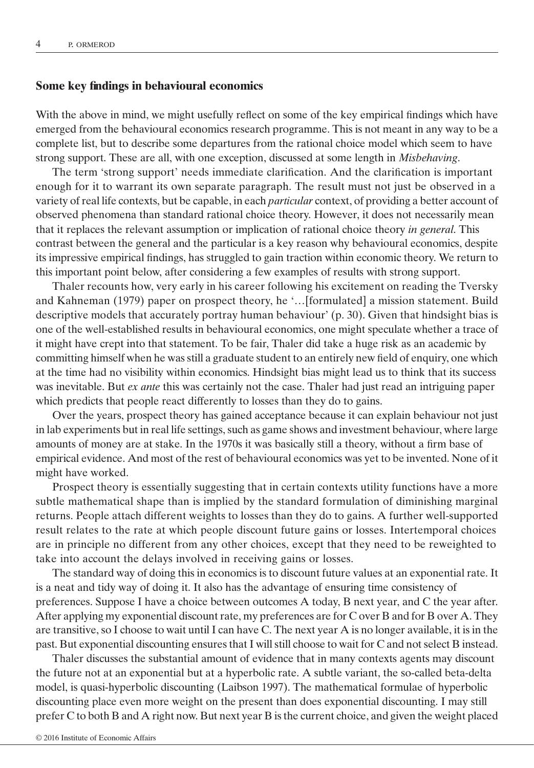#### Some key findings in behavioural economics

With the above in mind, we might usefully reflect on some of the key empirical findings which have emerged from the behavioural economics research programme. This is not meant in any way to be a complete list, but to describe some departures from the rational choice model which seem to have strong support. These are all, with one exception, discussed at some length in *Misbehaving*.

The term 'strong support' needs immediate clarification. And the clarification is important enough for it to warrant its own separate paragraph. The result must not just be observed in a variety of real life contexts, but be capable, in each particular context, of providing a better account of observed phenomena than standard rational choice theory. However, it does not necessarily mean that it replaces the relevant assumption or implication of rational choice theory in general. This contrast between the general and the particular is a key reason why behavioural economics, despite its impressive empirical findings, has struggled to gain traction within economic theory. We return to this important point below, after considering a few examples of results with strong support.

Thaler recounts how, very early in his career following his excitement on reading the Tversky and Kahneman (1979) paper on prospect theory, he '…[formulated] a mission statement. Build descriptive models that accurately portray human behaviour' (p. 30). Given that hindsight bias is one of the well-established results in behavioural economics, one might speculate whether a trace of it might have crept into that statement. To be fair, Thaler did take a huge risk as an academic by committing himself when he was still a graduate student to an entirely new field of enquiry, one which at the time had no visibility within economics. Hindsight bias might lead us to think that its success was inevitable. But *ex ante* this was certainly not the case. Thaler had just read an intriguing paper which predicts that people react differently to losses than they do to gains.

Over the years, prospect theory has gained acceptance because it can explain behaviour not just in lab experiments but in real life settings, such as game shows and investment behaviour, where large amounts of money are at stake. In the 1970s it was basically still a theory, without a firm base of empirical evidence. And most of the rest of behavioural economics was yet to be invented. None of it might have worked.

Prospect theory is essentially suggesting that in certain contexts utility functions have a more subtle mathematical shape than is implied by the standard formulation of diminishing marginal returns. People attach different weights to losses than they do to gains. A further well-supported result relates to the rate at which people discount future gains or losses. Intertemporal choices are in principle no different from any other choices, except that they need to be reweighted to take into account the delays involved in receiving gains or losses.

The standard way of doing this in economics is to discount future values at an exponential rate. It is a neat and tidy way of doing it. It also has the advantage of ensuring time consistency of preferences. Suppose I have a choice between outcomes A today, B next year, and C the year after. After applying my exponential discount rate, my preferences are for C over B and for B over A. They are transitive, so I choose to wait until I can have C. The next year A is no longer available, it is in the past. But exponential discounting ensures that I will still choose to wait for C and not select B instead.

Thaler discusses the substantial amount of evidence that in many contexts agents may discount the future not at an exponential but at a hyperbolic rate. A subtle variant, the so-called beta-delta model, is quasi-hyperbolic discounting (Laibson 1997). The mathematical formulae of hyperbolic discounting place even more weight on the present than does exponential discounting. I may still prefer C to both B and A right now. But next year B is the current choice, and given the weight placed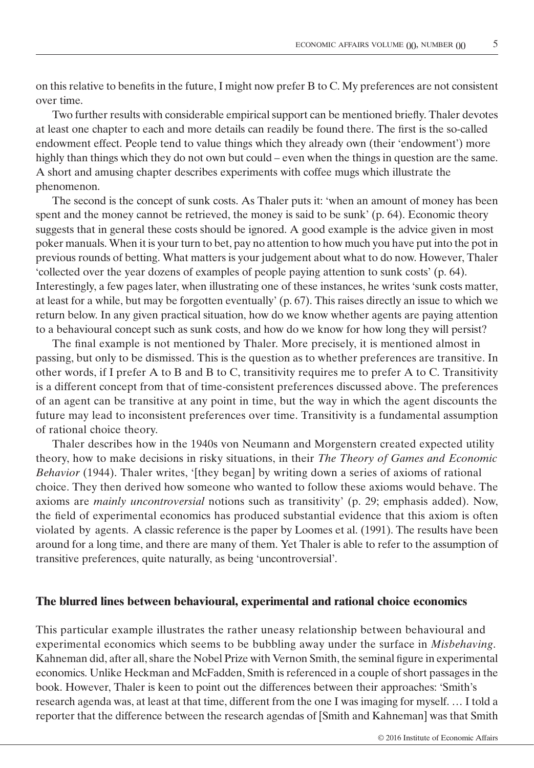on this relative to benefits in the future, I might now prefer B to C. My preferences are not consistent over time.

Two further results with considerable empirical support can be mentioned briefly. Thaler devotes at least one chapter to each and more details can readily be found there. The first is the so-called endowment effect. People tend to value things which they already own (their 'endowment') more highly than things which they do not own but could – even when the things in question are the same. A short and amusing chapter describes experiments with coffee mugs which illustrate the phenomenon.

The second is the concept of sunk costs. As Thaler puts it: 'when an amount of money has been spent and the money cannot be retrieved, the money is said to be sunk' (p. 64). Economic theory suggests that in general these costs should be ignored. A good example is the advice given in most poker manuals. When it is your turn to bet, pay no attention to how much you have put into the pot in previous rounds of betting. What matters is your judgement about what to do now. However, Thaler 'collected over the year dozens of examples of people paying attention to sunk costs' (p. 64). Interestingly, a few pages later, when illustrating one of these instances, he writes 'sunk costs matter, at least for a while, but may be forgotten eventually' (p. 67). This raises directly an issue to which we return below. In any given practical situation, how do we know whether agents are paying attention to a behavioural concept such as sunk costs, and how do we know for how long they will persist?

The final example is not mentioned by Thaler. More precisely, it is mentioned almost in passing, but only to be dismissed. This is the question as to whether preferences are transitive. In other words, if I prefer A to B and B to C, transitivity requires me to prefer A to C. Transitivity is a different concept from that of time-consistent preferences discussed above. The preferences of an agent can be transitive at any point in time, but the way in which the agent discounts the future may lead to inconsistent preferences over time. Transitivity is a fundamental assumption of rational choice theory.

Thaler describes how in the 1940s von Neumann and Morgenstern created expected utility theory, how to make decisions in risky situations, in their The Theory of Games and Economic Behavior (1944). Thaler writes, '[they began] by writing down a series of axioms of rational choice. They then derived how someone who wanted to follow these axioms would behave. The axioms are mainly uncontroversial notions such as transitivity' (p. 29; emphasis added). Now, the field of experimental economics has produced substantial evidence that this axiom is often violated by agents. A classic reference is the paper by Loomes et al. (1991). The results have been around for a long time, and there are many of them. Yet Thaler is able to refer to the assumption of transitive preferences, quite naturally, as being 'uncontroversial'.

#### The blurred lines between behavioural, experimental and rational choice economics

This particular example illustrates the rather uneasy relationship between behavioural and experimental economics which seems to be bubbling away under the surface in *Misbehaving*. Kahneman did, after all, share the Nobel Prize with Vernon Smith, the seminal figure in experimental economics. Unlike Heckman and McFadden, Smith is referenced in a couple of short passages in the book. However, Thaler is keen to point out the differences between their approaches: 'Smith's research agenda was, at least at that time, different from the one I was imaging for myself. … I told a reporter that the difference between the research agendas of [Smith and Kahneman] was that Smith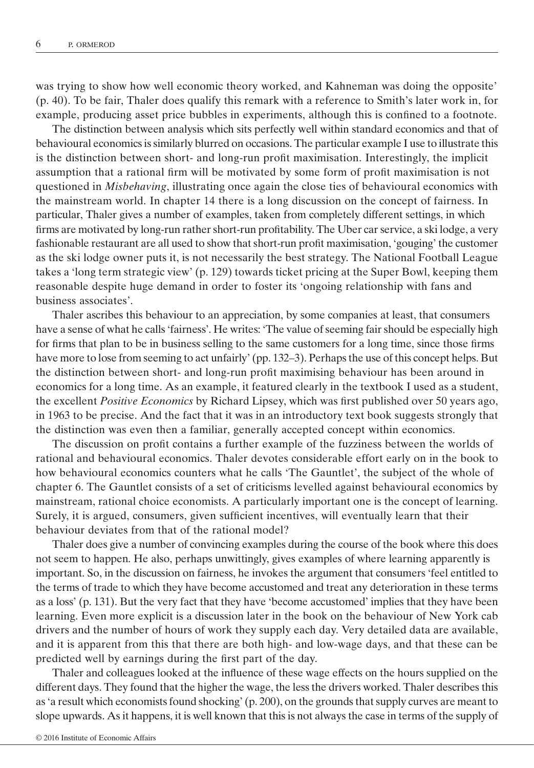was trying to show how well economic theory worked, and Kahneman was doing the opposite' (p. 40). To be fair, Thaler does qualify this remark with a reference to Smith's later work in, for example, producing asset price bubbles in experiments, although this is confined to a footnote.

The distinction between analysis which sits perfectly well within standard economics and that of behavioural economics is similarly blurred on occasions. The particular example I use to illustrate this is the distinction between short- and long-run profit maximisation. Interestingly, the implicit assumption that a rational firm will be motivated by some form of profit maximisation is not questioned in *Misbehaving*, illustrating once again the close ties of behavioural economics with the mainstream world. In chapter 14 there is a long discussion on the concept of fairness. In particular, Thaler gives a number of examples, taken from completely different settings, in which firms are motivated by long-run rather short-run profitability. The Uber car service, a ski lodge, a very fashionable restaurant are all used to show that short-run profit maximisation, 'gouging' the customer as the ski lodge owner puts it, is not necessarily the best strategy. The National Football League takes a 'long term strategic view' (p. 129) towards ticket pricing at the Super Bowl, keeping them reasonable despite huge demand in order to foster its 'ongoing relationship with fans and business associates'.

Thaler ascribes this behaviour to an appreciation, by some companies at least, that consumers have a sense of what he calls'fairness'. He writes: 'The value of seeming fair should be especially high for firms that plan to be in business selling to the same customers for a long time, since those firms have more to lose from seeming to act unfairly' (pp. 132–3). Perhaps the use of this concept helps. But the distinction between short- and long-run profit maximising behaviour has been around in economics for a long time. As an example, it featured clearly in the textbook I used as a student, the excellent Positive Economics by Richard Lipsey, which was first published over 50 years ago, in 1963 to be precise. And the fact that it was in an introductory text book suggests strongly that the distinction was even then a familiar, generally accepted concept within economics.

The discussion on profit contains a further example of the fuzziness between the worlds of rational and behavioural economics. Thaler devotes considerable effort early on in the book to how behavioural economics counters what he calls 'The Gauntlet', the subject of the whole of chapter 6. The Gauntlet consists of a set of criticisms levelled against behavioural economics by mainstream, rational choice economists. A particularly important one is the concept of learning. Surely, it is argued, consumers, given sufficient incentives, will eventually learn that their behaviour deviates from that of the rational model?

Thaler does give a number of convincing examples during the course of the book where this does not seem to happen. He also, perhaps unwittingly, gives examples of where learning apparently is important. So, in the discussion on fairness, he invokes the argument that consumers 'feel entitled to the terms of trade to which they have become accustomed and treat any deterioration in these terms as a loss' (p. 131). But the very fact that they have 'become accustomed' implies that they have been learning. Even more explicit is a discussion later in the book on the behaviour of New York cab drivers and the number of hours of work they supply each day. Very detailed data are available, and it is apparent from this that there are both high- and low-wage days, and that these can be predicted well by earnings during the first part of the day.

Thaler and colleagues looked at the influence of these wage effects on the hours supplied on the different days. They found that the higher the wage, the less the drivers worked. Thaler describes this as'a result which economists found shocking'(p. 200), on the grounds that supply curves are meant to slope upwards. As it happens, it is well known that this is not always the case in terms of the supply of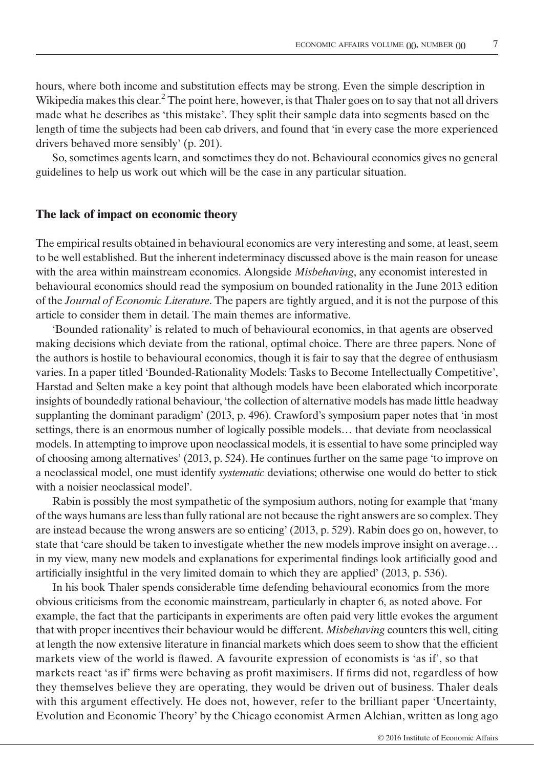hours, where both income and substitution effects may be strong. Even the simple description in Wikipedia makes this clear.<sup>2</sup> The point here, however, is that Thaler goes on to say that not all drivers made what he describes as 'this mistake'. They split their sample data into segments based on the length of time the subjects had been cab drivers, and found that 'in every case the more experienced drivers behaved more sensibly' (p. 201).

So, sometimes agents learn, and sometimes they do not. Behavioural economics gives no general guidelines to help us work out which will be the case in any particular situation.

#### The lack of impact on economic theory

The empirical results obtained in behavioural economics are very interesting and some, at least, seem to be well established. But the inherent indeterminacy discussed above is the main reason for unease with the area within mainstream economics. Alongside *Misbehaving*, any economist interested in behavioural economics should read the symposium on bounded rationality in the June 2013 edition of the Journal of Economic Literature. The papers are tightly argued, and it is not the purpose of this article to consider them in detail. The main themes are informative.

'Bounded rationality' is related to much of behavioural economics, in that agents are observed making decisions which deviate from the rational, optimal choice. There are three papers. None of the authors is hostile to behavioural economics, though it is fair to say that the degree of enthusiasm varies. In a paper titled 'Bounded-Rationality Models: Tasks to Become Intellectually Competitive', Harstad and Selten make a key point that although models have been elaborated which incorporate insights of boundedly rational behaviour, 'the collection of alternative models has made little headway supplanting the dominant paradigm' (2013, p. 496). Crawford's symposium paper notes that 'in most settings, there is an enormous number of logically possible models… that deviate from neoclassical models. In attempting to improve upon neoclassical models, it is essential to have some principled way of choosing among alternatives' (2013, p. 524). He continues further on the same page 'to improve on a neoclassical model, one must identify systematic deviations; otherwise one would do better to stick with a noisier neoclassical model'.

Rabin is possibly the most sympathetic of the symposium authors, noting for example that 'many of the ways humans are less than fully rational are not because the right answers are so complex. They are instead because the wrong answers are so enticing' (2013, p. 529). Rabin does go on, however, to state that 'care should be taken to investigate whether the new models improve insight on average… in my view, many new models and explanations for experimental findings look artificially good and artificially insightful in the very limited domain to which they are applied' (2013, p. 536).

In his book Thaler spends considerable time defending behavioural economics from the more obvious criticisms from the economic mainstream, particularly in chapter 6, as noted above. For example, the fact that the participants in experiments are often paid very little evokes the argument that with proper incentives their behaviour would be different. Misbehaving counters this well, citing at length the now extensive literature in financial markets which does seem to show that the efficient markets view of the world is flawed. A favourite expression of economists is 'as if', so that markets react 'as if' firms were behaving as profit maximisers. If firms did not, regardless of how they themselves believe they are operating, they would be driven out of business. Thaler deals with this argument effectively. He does not, however, refer to the brilliant paper 'Uncertainty, Evolution and Economic Theory' by the Chicago economist Armen Alchian, written as long ago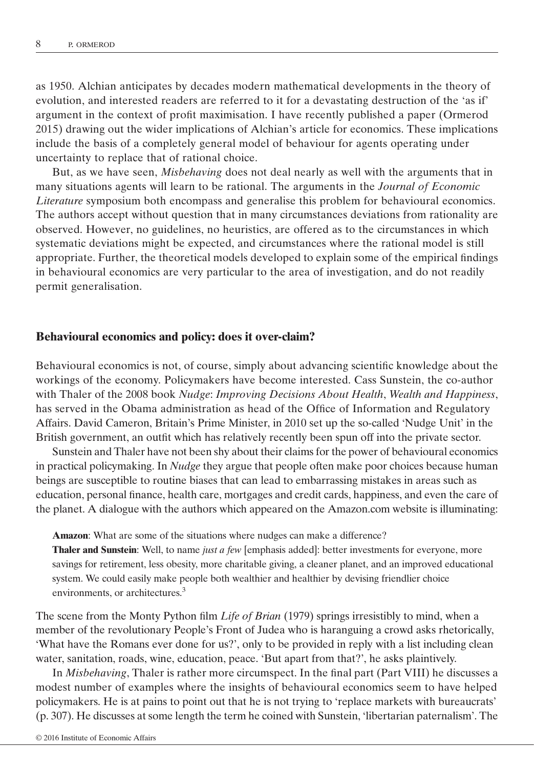as 1950. Alchian anticipates by decades modern mathematical developments in the theory of evolution, and interested readers are referred to it for a devastating destruction of the 'as if' argument in the context of profit maximisation. I have recently published a paper (Ormerod 2015) drawing out the wider implications of Alchian's article for economics. These implications include the basis of a completely general model of behaviour for agents operating under uncertainty to replace that of rational choice.

But, as we have seen, *Misbehaving* does not deal nearly as well with the arguments that in many situations agents will learn to be rational. The arguments in the *Journal of Economic* Literature symposium both encompass and generalise this problem for behavioural economics. The authors accept without question that in many circumstances deviations from rationality are observed. However, no guidelines, no heuristics, are offered as to the circumstances in which systematic deviations might be expected, and circumstances where the rational model is still appropriate. Further, the theoretical models developed to explain some of the empirical findings in behavioural economics are very particular to the area of investigation, and do not readily permit generalisation.

#### Behavioural economics and policy: does it over-claim?

Behavioural economics is not, of course, simply about advancing scientific knowledge about the workings of the economy. Policymakers have become interested. Cass Sunstein, the co-author with Thaler of the 2008 book Nudge: Improving Decisions About Health, Wealth and Happiness, has served in the Obama administration as head of the Office of Information and Regulatory Affairs. David Cameron, Britain's Prime Minister, in 2010 set up the so-called 'Nudge Unit' in the British government, an outfit which has relatively recently been spun off into the private sector.

Sunstein and Thaler have not been shy about their claims for the power of behavioural economics in practical policymaking. In *Nudge* they argue that people often make poor choices because human beings are susceptible to routine biases that can lead to embarrassing mistakes in areas such as education, personal finance, health care, mortgages and credit cards, happiness, and even the care of the planet. A dialogue with the authors which appeared on the Amazon.com website is illuminating:

Amazon: What are some of the situations where nudges can make a difference?

**Thaler and Sunstein:** Well, to name *just a few* [emphasis added]: better investments for everyone, more savings for retirement, less obesity, more charitable giving, a cleaner planet, and an improved educational system. We could easily make people both wealthier and healthier by devising friendlier choice environments, or architectures.<sup>3</sup>

The scene from the Monty Python film Life of Brian (1979) springs irresistibly to mind, when a member of the revolutionary People's Front of Judea who is haranguing a crowd asks rhetorically, 'What have the Romans ever done for us?', only to be provided in reply with a list including clean water, sanitation, roads, wine, education, peace. 'But apart from that?', he asks plaintively.

In Misbehaving, Thaler is rather more circumspect. In the final part (Part VIII) he discusses a modest number of examples where the insights of behavioural economics seem to have helped policymakers. He is at pains to point out that he is not trying to 'replace markets with bureaucrats' (p. 307). He discusses at some length the term he coined with Sunstein, 'libertarian paternalism'. The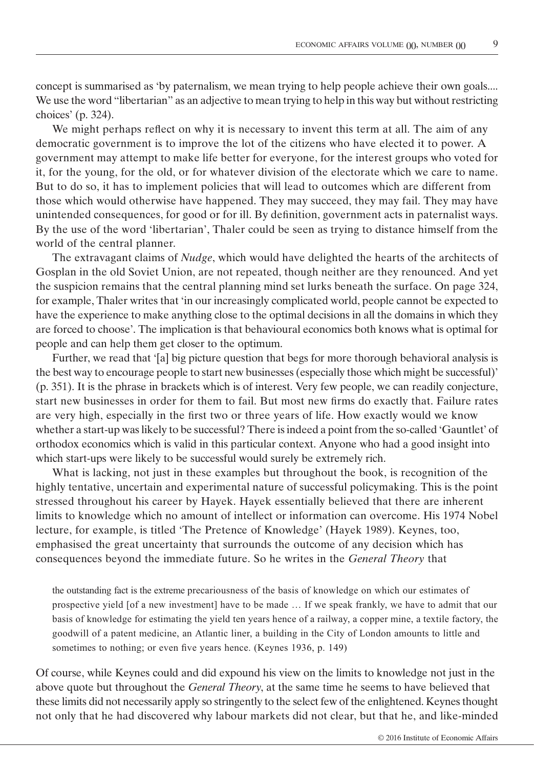concept is summarised as 'by paternalism, we mean trying to help people achieve their own goals.... We use the word "libertarian" as an adjective to mean trying to help in this way but without restricting choices' (p. 324).

We might perhaps reflect on why it is necessary to invent this term at all. The aim of any democratic government is to improve the lot of the citizens who have elected it to power. A government may attempt to make life better for everyone, for the interest groups who voted for it, for the young, for the old, or for whatever division of the electorate which we care to name. But to do so, it has to implement policies that will lead to outcomes which are different from those which would otherwise have happened. They may succeed, they may fail. They may have unintended consequences, for good or for ill. By definition, government acts in paternalist ways. By the use of the word 'libertarian', Thaler could be seen as trying to distance himself from the world of the central planner.

The extravagant claims of Nudge, which would have delighted the hearts of the architects of Gosplan in the old Soviet Union, are not repeated, though neither are they renounced. And yet the suspicion remains that the central planning mind set lurks beneath the surface. On page 324, for example, Thaler writes that 'in our increasingly complicated world, people cannot be expected to have the experience to make anything close to the optimal decisions in all the domains in which they are forced to choose'. The implication is that behavioural economics both knows what is optimal for people and can help them get closer to the optimum.

Further, we read that '[a] big picture question that begs for more thorough behavioral analysis is the best way to encourage people to start new businesses (especially those which might be successful)' (p. 351). It is the phrase in brackets which is of interest. Very few people, we can readily conjecture, start new businesses in order for them to fail. But most new firms do exactly that. Failure rates are very high, especially in the first two or three years of life. How exactly would we know whether a start-up was likely to be successful? There is indeed a point from the so-called 'Gauntlet' of orthodox economics which is valid in this particular context. Anyone who had a good insight into which start-ups were likely to be successful would surely be extremely rich.

What is lacking, not just in these examples but throughout the book, is recognition of the highly tentative, uncertain and experimental nature of successful policymaking. This is the point stressed throughout his career by Hayek. Hayek essentially believed that there are inherent limits to knowledge which no amount of intellect or information can overcome. His 1974 Nobel lecture, for example, is titled 'The Pretence of Knowledge' (Hayek 1989). Keynes, too, emphasised the great uncertainty that surrounds the outcome of any decision which has consequences beyond the immediate future. So he writes in the General Theory that

the outstanding fact is the extreme precariousness of the basis of knowledge on which our estimates of prospective yield [of a new investment] have to be made … If we speak frankly, we have to admit that our basis of knowledge for estimating the yield ten years hence of a railway, a copper mine, a textile factory, the goodwill of a patent medicine, an Atlantic liner, a building in the City of London amounts to little and sometimes to nothing; or even five years hence. (Keynes 1936, p. 149)

Of course, while Keynes could and did expound his view on the limits to knowledge not just in the above quote but throughout the *General Theory*, at the same time he seems to have believed that these limits did not necessarily apply so stringently to the select few of the enlightened. Keynes thought not only that he had discovered why labour markets did not clear, but that he, and like-minded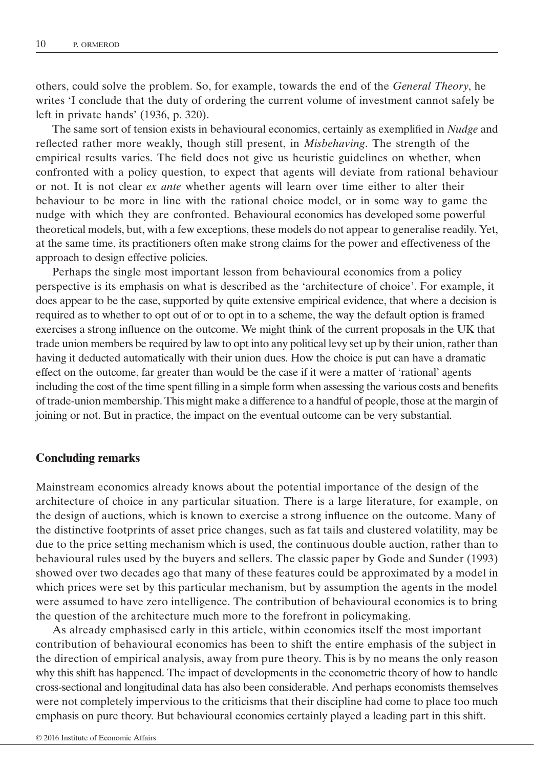others, could solve the problem. So, for example, towards the end of the General Theory, he writes 'I conclude that the duty of ordering the current volume of investment cannot safely be left in private hands' (1936, p. 320).

The same sort of tension exists in behavioural economics, certainly as exemplified in *Nudge* and reflected rather more weakly, though still present, in Misbehaving. The strength of the empirical results varies. The field does not give us heuristic guidelines on whether, when confronted with a policy question, to expect that agents will deviate from rational behaviour or not. It is not clear ex ante whether agents will learn over time either to alter their behaviour to be more in line with the rational choice model, or in some way to game the nudge with which they are confronted. Behavioural economics has developed some powerful theoretical models, but, with a few exceptions, these models do not appear to generalise readily. Yet, at the same time, its practitioners often make strong claims for the power and effectiveness of the approach to design effective policies.

Perhaps the single most important lesson from behavioural economics from a policy perspective is its emphasis on what is described as the 'architecture of choice'. For example, it does appear to be the case, supported by quite extensive empirical evidence, that where a decision is required as to whether to opt out of or to opt in to a scheme, the way the default option is framed exercises a strong influence on the outcome. We might think of the current proposals in the UK that trade union members be required by law to opt into any political levy set up by their union, rather than having it deducted automatically with their union dues. How the choice is put can have a dramatic effect on the outcome, far greater than would be the case if it were a matter of 'rational' agents including the cost of the time spent filling in a simple form when assessing the various costs and benefits of trade-union membership. This might make a difference to a handful of people, those at the margin of joining or not. But in practice, the impact on the eventual outcome can be very substantial.

#### Concluding remarks

Mainstream economics already knows about the potential importance of the design of the architecture of choice in any particular situation. There is a large literature, for example, on the design of auctions, which is known to exercise a strong influence on the outcome. Many of the distinctive footprints of asset price changes, such as fat tails and clustered volatility, may be due to the price setting mechanism which is used, the continuous double auction, rather than to behavioural rules used by the buyers and sellers. The classic paper by Gode and Sunder (1993) showed over two decades ago that many of these features could be approximated by a model in which prices were set by this particular mechanism, but by assumption the agents in the model were assumed to have zero intelligence. The contribution of behavioural economics is to bring the question of the architecture much more to the forefront in policymaking.

As already emphasised early in this article, within economics itself the most important contribution of behavioural economics has been to shift the entire emphasis of the subject in the direction of empirical analysis, away from pure theory. This is by no means the only reason why this shift has happened. The impact of developments in the econometric theory of how to handle cross-sectional and longitudinal data has also been considerable. And perhaps economists themselves were not completely impervious to the criticisms that their discipline had come to place too much emphasis on pure theory. But behavioural economics certainly played a leading part in this shift.